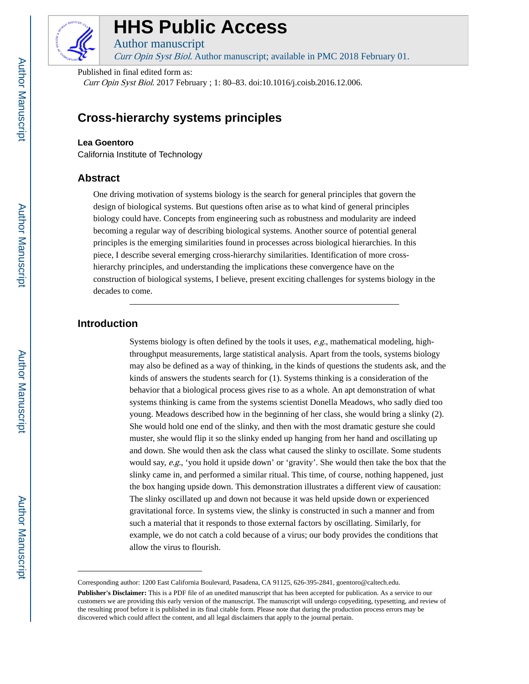

# **HHS Public Access**

Author manuscript Curr Opin Syst Biol. Author manuscript; available in PMC 2018 February 01.

Published in final edited form as:

Curr Opin Syst Biol. 2017 February ; 1: 80–83. doi:10.1016/j.coisb.2016.12.006.

# **Cross-hierarchy systems principles**

#### **Lea Goentoro**

California Institute of Technology

# **Abstract**

One driving motivation of systems biology is the search for general principles that govern the design of biological systems. But questions often arise as to what kind of general principles biology could have. Concepts from engineering such as robustness and modularity are indeed becoming a regular way of describing biological systems. Another source of potential general principles is the emerging similarities found in processes across biological hierarchies. In this piece, I describe several emerging cross-hierarchy similarities. Identification of more crosshierarchy principles, and understanding the implications these convergence have on the construction of biological systems, I believe, present exciting challenges for systems biology in the decades to come.

# **Introduction**

Systems biology is often defined by the tools it uses,  $e.g.,$  mathematical modeling, highthroughput measurements, large statistical analysis. Apart from the tools, systems biology may also be defined as a way of thinking, in the kinds of questions the students ask, and the kinds of answers the students search for (1). Systems thinking is a consideration of the behavior that a biological process gives rise to as a whole. An apt demonstration of what systems thinking is came from the systems scientist Donella Meadows, who sadly died too young. Meadows described how in the beginning of her class, she would bring a slinky (2). She would hold one end of the slinky, and then with the most dramatic gesture she could muster, she would flip it so the slinky ended up hanging from her hand and oscillating up and down. She would then ask the class what caused the slinky to oscillate. Some students would say,  $e.g.,'$  you hold it upside down' or 'gravity'. She would then take the box that the slinky came in, and performed a similar ritual. This time, of course, nothing happened, just the box hanging upside down. This demonstration illustrates a different view of causation: The slinky oscillated up and down not because it was held upside down or experienced gravitational force. In systems view, the slinky is constructed in such a manner and from such a material that it responds to those external factors by oscillating. Similarly, for example, we do not catch a cold because of a virus; our body provides the conditions that allow the virus to flourish.

Corresponding author: 1200 East California Boulevard, Pasadena, CA 91125, 626-395-2841, goentoro@caltech.edu.

**Publisher's Disclaimer:** This is a PDF file of an unedited manuscript that has been accepted for publication. As a service to our customers we are providing this early version of the manuscript. The manuscript will undergo copyediting, typesetting, and review of the resulting proof before it is published in its final citable form. Please note that during the production process errors may be discovered which could affect the content, and all legal disclaimers that apply to the journal pertain.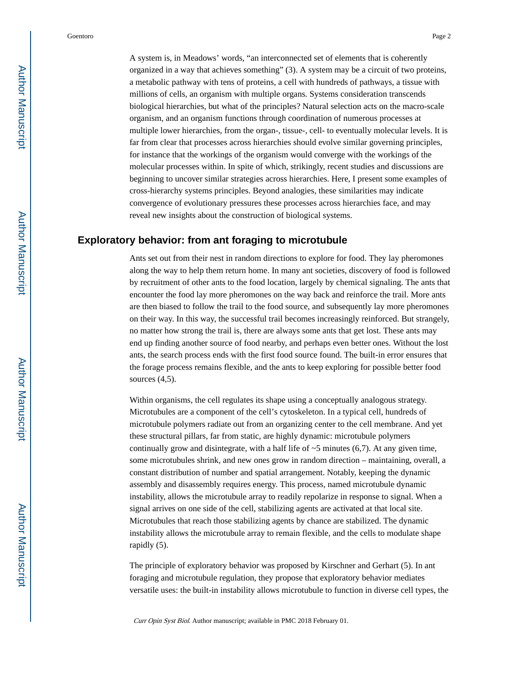A system is, in Meadows' words, "an interconnected set of elements that is coherently organized in a way that achieves something" (3). A system may be a circuit of two proteins, a metabolic pathway with tens of proteins, a cell with hundreds of pathways, a tissue with millions of cells, an organism with multiple organs. Systems consideration transcends biological hierarchies, but what of the principles? Natural selection acts on the macro-scale organism, and an organism functions through coordination of numerous processes at multiple lower hierarchies, from the organ-, tissue-, cell- to eventually molecular levels. It is far from clear that processes across hierarchies should evolve similar governing principles, for instance that the workings of the organism would converge with the workings of the molecular processes within. In spite of which, strikingly, recent studies and discussions are beginning to uncover similar strategies across hierarchies. Here, I present some examples of cross-hierarchy systems principles. Beyond analogies, these similarities may indicate convergence of evolutionary pressures these processes across hierarchies face, and may reveal new insights about the construction of biological systems.

#### **Exploratory behavior: from ant foraging to microtubule**

Ants set out from their nest in random directions to explore for food. They lay pheromones along the way to help them return home. In many ant societies, discovery of food is followed by recruitment of other ants to the food location, largely by chemical signaling. The ants that encounter the food lay more pheromones on the way back and reinforce the trail. More ants are then biased to follow the trail to the food source, and subsequently lay more pheromones on their way. In this way, the successful trail becomes increasingly reinforced. But strangely, no matter how strong the trail is, there are always some ants that get lost. These ants may end up finding another source of food nearby, and perhaps even better ones. Without the lost ants, the search process ends with the first food source found. The built-in error ensures that the forage process remains flexible, and the ants to keep exploring for possible better food sources (4,5).

Within organisms, the cell regulates its shape using a conceptually analogous strategy. Microtubules are a component of the cell's cytoskeleton. In a typical cell, hundreds of microtubule polymers radiate out from an organizing center to the cell membrane. And yet these structural pillars, far from static, are highly dynamic: microtubule polymers continually grow and disintegrate, with a half life of  $\sim$  5 minutes (6,7). At any given time, some microtubules shrink, and new ones grow in random direction – maintaining, overall, a constant distribution of number and spatial arrangement. Notably, keeping the dynamic assembly and disassembly requires energy. This process, named microtubule dynamic instability, allows the microtubule array to readily repolarize in response to signal. When a signal arrives on one side of the cell, stabilizing agents are activated at that local site. Microtubules that reach those stabilizing agents by chance are stabilized. The dynamic instability allows the microtubule array to remain flexible, and the cells to modulate shape rapidly (5).

The principle of exploratory behavior was proposed by Kirschner and Gerhart (5). In ant foraging and microtubule regulation, they propose that exploratory behavior mediates versatile uses: the built-in instability allows microtubule to function in diverse cell types, the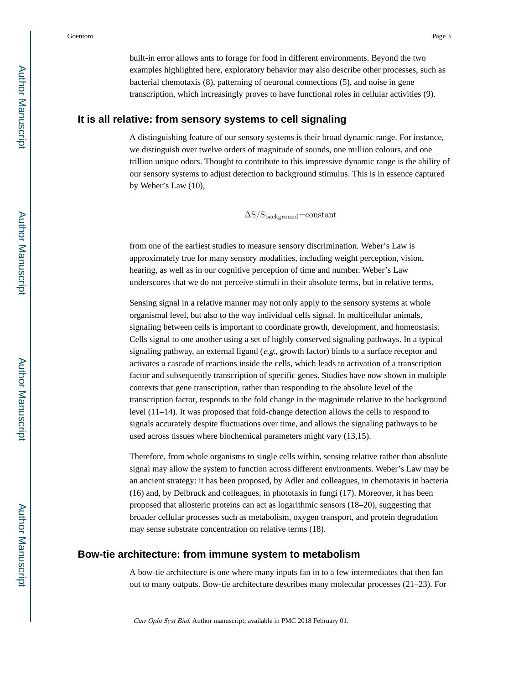built-in error allows ants to forage for food in different environments. Beyond the two examples highlighted here, exploratory behavior may also describe other processes, such as bacterial chemotaxis (8), patterning of neuronal connections (5), and noise in gene transcription, which increasingly proves to have functional roles in cellular activities (9).

#### **It is all relative: from sensory systems to cell signaling**

A distinguishing feature of our sensory systems is their broad dynamic range. For instance, we distinguish over twelve orders of magnitude of sounds, one million colours, and one trillion unique odors. Thought to contribute to this impressive dynamic range is the ability of our sensory systems to adjust detection to background stimulus. This is in essence captured by Weber's Law (10),

 $\Delta S/S_{background} = constant$ 

from one of the earliest studies to measure sensory discrimination. Weber's Law is approximately true for many sensory modalities, including weight perception, vision, hearing, as well as in our cognitive perception of time and number. Weber's Law underscores that we do not perceive stimuli in their absolute terms, but in relative terms.

Sensing signal in a relative manner may not only apply to the sensory systems at whole organismal level, but also to the way individual cells signal. In multicellular animals, signaling between cells is important to coordinate growth, development, and homeostasis. Cells signal to one another using a set of highly conserved signaling pathways. In a typical signaling pathway, an external ligand  $(e.g.,$  growth factor) binds to a surface receptor and activates a cascade of reactions inside the cells, which leads to activation of a transcription factor and subsequently transcription of specific genes. Studies have now shown in multiple contexts that gene transcription, rather than responding to the absolute level of the transcription factor, responds to the fold change in the magnitude relative to the background level (11–14). It was proposed that fold-change detection allows the cells to respond to signals accurately despite fluctuations over time, and allows the signaling pathways to be used across tissues where biochemical parameters might vary (13,15).

Therefore, from whole organisms to single cells within, sensing relative rather than absolute signal may allow the system to function across different environments. Weber's Law may be an ancient strategy: it has been proposed, by Adler and colleagues, in chemotaxis in bacteria (16) and, by Delbruck and colleagues, in phototaxis in fungi (17). Moreover, it has been proposed that allosteric proteins can act as logarithmic sensors (18–20), suggesting that broader cellular processes such as metabolism, oxygen transport, and protein degradation may sense substrate concentration on relative terms (18).

#### **Bow-tie architecture: from immune system to metabolism**

A bow-tie architecture is one where many inputs fan in to a few intermediates that then fan out to many outputs. Bow-tie architecture describes many molecular processes (21–23). For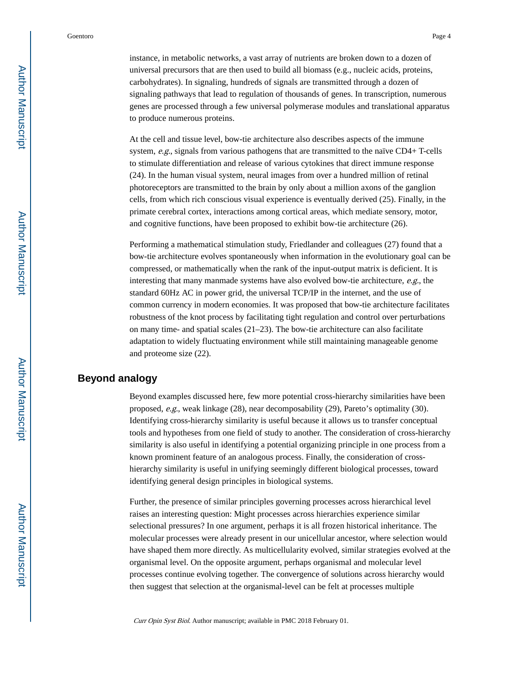Goentoro Page 4

instance, in metabolic networks, a vast array of nutrients are broken down to a dozen of universal precursors that are then used to build all biomass (e.g., nucleic acids, proteins, carbohydrates). In signaling, hundreds of signals are transmitted through a dozen of signaling pathways that lead to regulation of thousands of genes. In transcription, numerous genes are processed through a few universal polymerase modules and translational apparatus to produce numerous proteins.

At the cell and tissue level, bow-tie architecture also describes aspects of the immune system, e.g., signals from various pathogens that are transmitted to the naïve CD4+ T-cells to stimulate differentiation and release of various cytokines that direct immune response (24). In the human visual system, neural images from over a hundred million of retinal photoreceptors are transmitted to the brain by only about a million axons of the ganglion cells, from which rich conscious visual experience is eventually derived (25). Finally, in the primate cerebral cortex, interactions among cortical areas, which mediate sensory, motor, and cognitive functions, have been proposed to exhibit bow-tie architecture (26).

Performing a mathematical stimulation study, Friedlander and colleagues (27) found that a bow-tie architecture evolves spontaneously when information in the evolutionary goal can be compressed, or mathematically when the rank of the input-output matrix is deficient. It is interesting that many manmade systems have also evolved bow-tie architecture,  $e.g.,$  the standard 60Hz AC in power grid, the universal TCP/IP in the internet, and the use of common currency in modern economies. It was proposed that bow-tie architecture facilitates robustness of the knot process by facilitating tight regulation and control over perturbations on many time- and spatial scales (21–23). The bow-tie architecture can also facilitate adaptation to widely fluctuating environment while still maintaining manageable genome and proteome size (22).

# **Beyond analogy**

Beyond examples discussed here, few more potential cross-hierarchy similarities have been proposed, e.g., weak linkage (28), near decomposability (29), Pareto's optimality (30). Identifying cross-hierarchy similarity is useful because it allows us to transfer conceptual tools and hypotheses from one field of study to another. The consideration of cross-hierarchy similarity is also useful in identifying a potential organizing principle in one process from a known prominent feature of an analogous process. Finally, the consideration of crosshierarchy similarity is useful in unifying seemingly different biological processes, toward identifying general design principles in biological systems.

Further, the presence of similar principles governing processes across hierarchical level raises an interesting question: Might processes across hierarchies experience similar selectional pressures? In one argument, perhaps it is all frozen historical inheritance. The molecular processes were already present in our unicellular ancestor, where selection would have shaped them more directly. As multicellularity evolved, similar strategies evolved at the organismal level. On the opposite argument, perhaps organismal and molecular level processes continue evolving together. The convergence of solutions across hierarchy would then suggest that selection at the organismal-level can be felt at processes multiple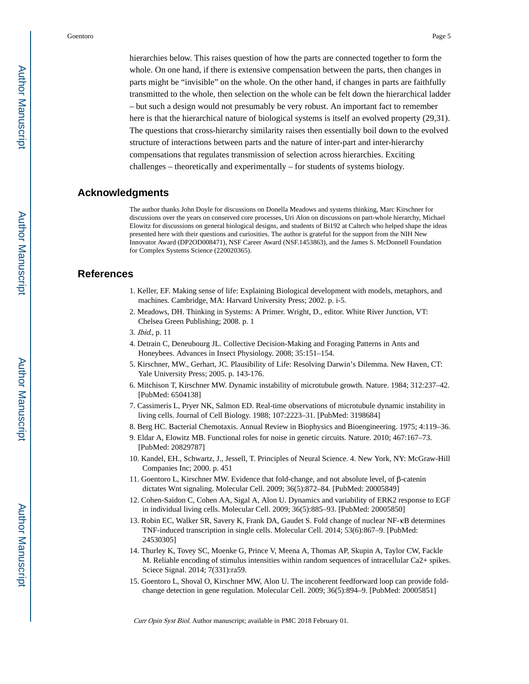hierarchies below. This raises question of how the parts are connected together to form the whole. On one hand, if there is extensive compensation between the parts, then changes in parts might be "invisible" on the whole. On the other hand, if changes in parts are faithfully transmitted to the whole, then selection on the whole can be felt down the hierarchical ladder – but such a design would not presumably be very robust. An important fact to remember here is that the hierarchical nature of biological systems is itself an evolved property (29,31). The questions that cross-hierarchy similarity raises then essentially boil down to the evolved structure of interactions between parts and the nature of inter-part and inter-hierarchy compensations that regulates transmission of selection across hierarchies. Exciting challenges – theoretically and experimentally – for students of systems biology.

#### **Acknowledgments**

The author thanks John Doyle for discussions on Donella Meadows and systems thinking, Marc Kirschner for discussions over the years on conserved core processes, Uri Alon on discussions on part-whole hierarchy, Michael Elowitz for discussions on general biological designs, and students of Bi192 at Caltech who helped shape the ideas presented here with their questions and curiosities. The author is grateful for the support from the NIH New Innovator Award (DP2OD008471), NSF Career Award (NSF.1453863), and the James S. McDonnell Foundation for Complex Systems Science (220020365).

#### **References**

- 1. Keller, EF. Making sense of life: Explaining Biological development with models, metaphors, and machines. Cambridge, MA: Harvard University Press; 2002. p. i-5.
- 2. Meadows, DH. Thinking in Systems: A Primer. Wright, D., editor. White River Junction, VT: Chelsea Green Publishing; 2008. p. 1
- 3. Ibid., p. 11
- 4. Detrain C, Deneubourg JL. Collective Decision-Making and Foraging Patterns in Ants and Honeybees. Advances in Insect Physiology. 2008; 35:151–154.
- 5. Kirschner, MW., Gerhart, JC. Plausibility of Life: Resolving Darwin's Dilemma. New Haven, CT: Yale University Press; 2005. p. 143-176.
- 6. Mitchison T, Kirschner MW. Dynamic instability of microtubule growth. Nature. 1984; 312:237–42. [PubMed: 6504138]
- 7. Cassimeris L, Pryer NK, Salmon ED. Real-time observations of microtubule dynamic instability in living cells. Journal of Cell Biology. 1988; 107:2223–31. [PubMed: 3198684]
- 8. Berg HC. Bacterial Chemotaxis. Annual Review in Biophysics and Bioengineering. 1975; 4:119–36.
- 9. Eldar A, Elowitz MB. Functional roles for noise in genetic circuits. Nature. 2010; 467:167–73. [PubMed: 20829787]
- 10. Kandel, EH., Schwartz, J., Jessell, T. Principles of Neural Science. 4. New York, NY: McGraw-Hill Companies Inc; 2000. p. 451
- 11. Goentoro L, Kirschner MW. Evidence that fold-change, and not absolute level, of β-catenin dictates Wnt signaling. Molecular Cell. 2009; 36(5):872–84. [PubMed: 20005849]
- 12. Cohen-Saidon C, Cohen AA, Sigal A, Alon U. Dynamics and variability of ERK2 response to EGF in individual living cells. Molecular Cell. 2009; 36(5):885–93. [PubMed: 20005850]
- 13. Robin EC, Walker SR, Savery K, Frank DA, Gaudet S. Fold change of nuclear NF-κB determines TNF-induced transcription in single cells. Molecular Cell. 2014; 53(6):867–9. [PubMed: 24530305]
- 14. Thurley K, Tovey SC, Moenke G, Prince V, Meena A, Thomas AP, Skupin A, Taylor CW, Fackle M. Reliable encoding of stimulus intensities within random sequences of intracellular Ca2+ spikes. Sciece Signal. 2014; 7(331):ra59.
- 15. Goentoro L, Shoval O, Kirschner MW, Alon U. The incoherent feedforward loop can provide foldchange detection in gene regulation. Molecular Cell. 2009; 36(5):894–9. [PubMed: 20005851]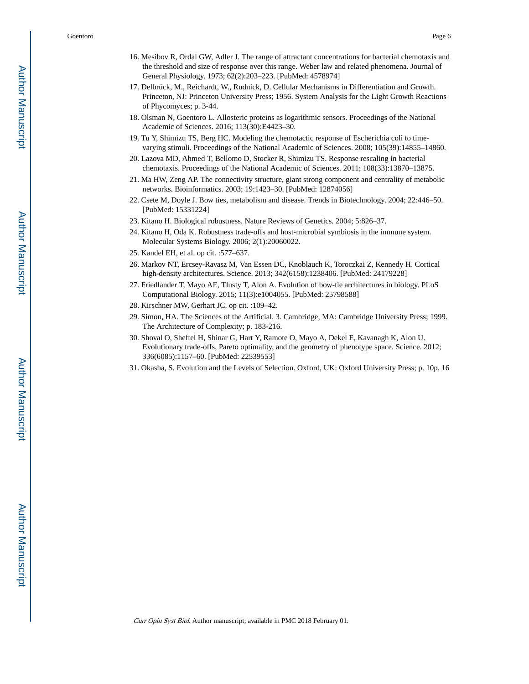Goentoro Page 6

- 16. Mesibov R, Ordal GW, Adler J. The range of attractant concentrations for bacterial chemotaxis and the threshold and size of response over this range. Weber law and related phenomena. Journal of General Physiology. 1973; 62(2):203–223. [PubMed: 4578974]
- 17. Delbrück, M., Reichardt, W., Rudnick, D. Cellular Mechanisms in Differentiation and Growth. Princeton, NJ: Princeton University Press; 1956. System Analysis for the Light Growth Reactions of Phycomyces; p. 3-44.
- 18. Olsman N, Goentoro L. Allosteric proteins as logarithmic sensors. Proceedings of the National Academic of Sciences. 2016; 113(30):E4423–30.
- 19. Tu Y, Shimizu TS, Berg HC. Modeling the chemotactic response of Escherichia coli to timevarying stimuli. Proceedings of the National Academic of Sciences. 2008; 105(39):14855–14860.
- 20. Lazova MD, Ahmed T, Bellomo D, Stocker R, Shimizu TS. Response rescaling in bacterial chemotaxis. Proceedings of the National Academic of Sciences. 2011; 108(33):13870–13875.
- 21. Ma HW, Zeng AP. The connectivity structure, giant strong component and centrality of metabolic networks. Bioinformatics. 2003; 19:1423–30. [PubMed: 12874056]
- 22. Csete M, Doyle J. Bow ties, metabolism and disease. Trends in Biotechnology. 2004; 22:446–50. [PubMed: 15331224]
- 23. Kitano H. Biological robustness. Nature Reviews of Genetics. 2004; 5:826–37.
- 24. Kitano H, Oda K. Robustness trade-offs and host-microbial symbiosis in the immune system. Molecular Systems Biology. 2006; 2(1):20060022.
- 25. Kandel EH, et al. op cit. :577–637.
- 26. Markov NT, Ercsey-Ravasz M, Van Essen DC, Knoblauch K, Toroczkai Z, Kennedy H. Cortical high-density architectures. Science. 2013; 342(6158):1238406. [PubMed: 24179228]
- 27. Friedlander T, Mayo AE, Tlusty T, Alon A. Evolution of bow-tie architectures in biology. PLoS Computational Biology. 2015; 11(3):e1004055. [PubMed: 25798588]
- 28. Kirschner MW, Gerhart JC. op cit. :109–42.
- 29. Simon, HA. The Sciences of the Artificial. 3. Cambridge, MA: Cambridge University Press; 1999. The Architecture of Complexity; p. 183-216.
- 30. Shoval O, Sheftel H, Shinar G, Hart Y, Ramote O, Mayo A, Dekel E, Kavanagh K, Alon U. Evolutionary trade-offs, Pareto optimality, and the geometry of phenotype space. Science. 2012; 336(6085):1157–60. [PubMed: 22539553]
- 31. Okasha, S. Evolution and the Levels of Selection. Oxford, UK: Oxford University Press; p. 10p. 16